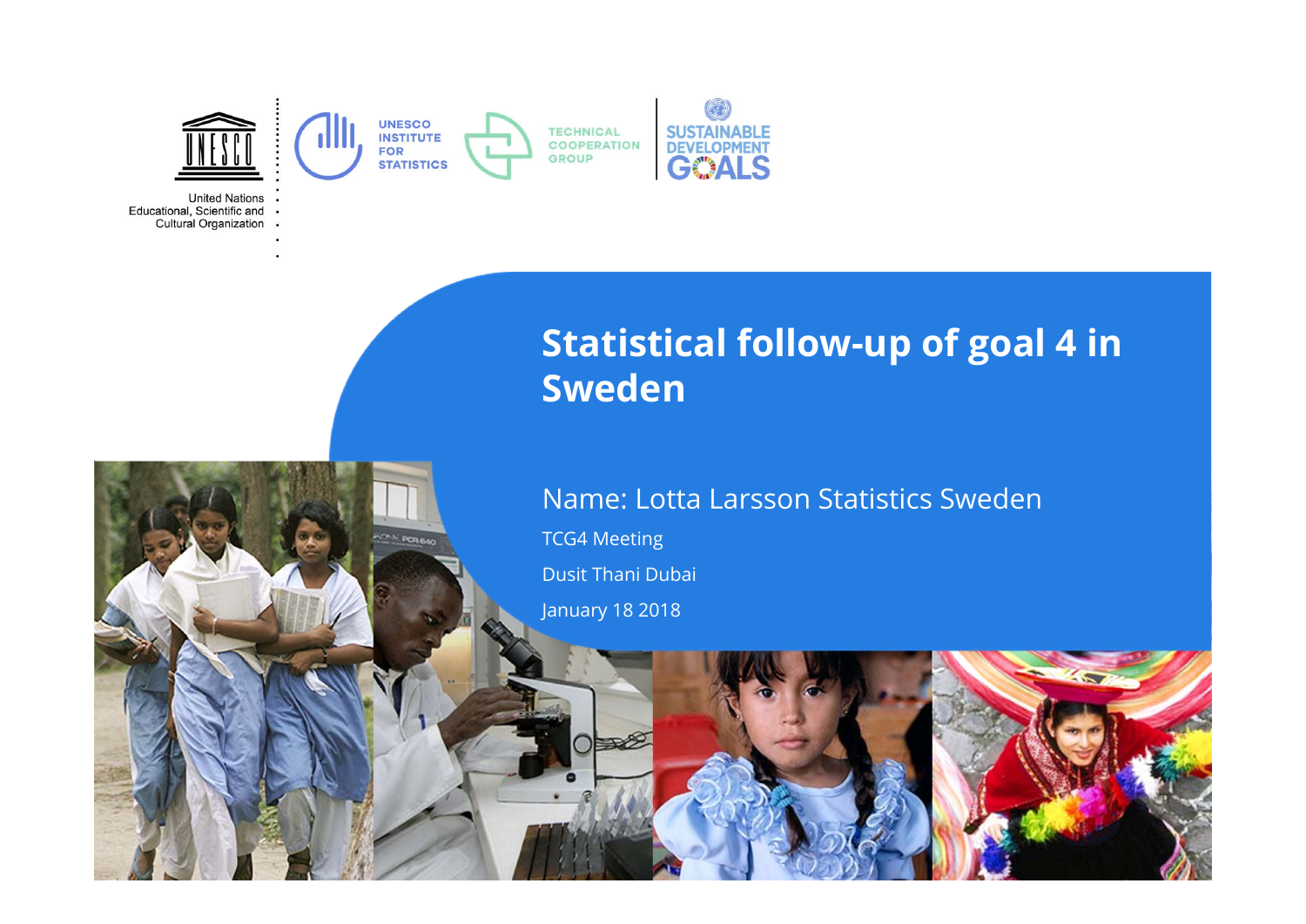

Educational, Scientific and . Cultural Organization .

> **Statistical follow-up of goal 4 in Sweden**

#### Name: Lotta Larsson Statistics Sweden

TCG4 Meeting Dusit Thani Dubai

January 18 2018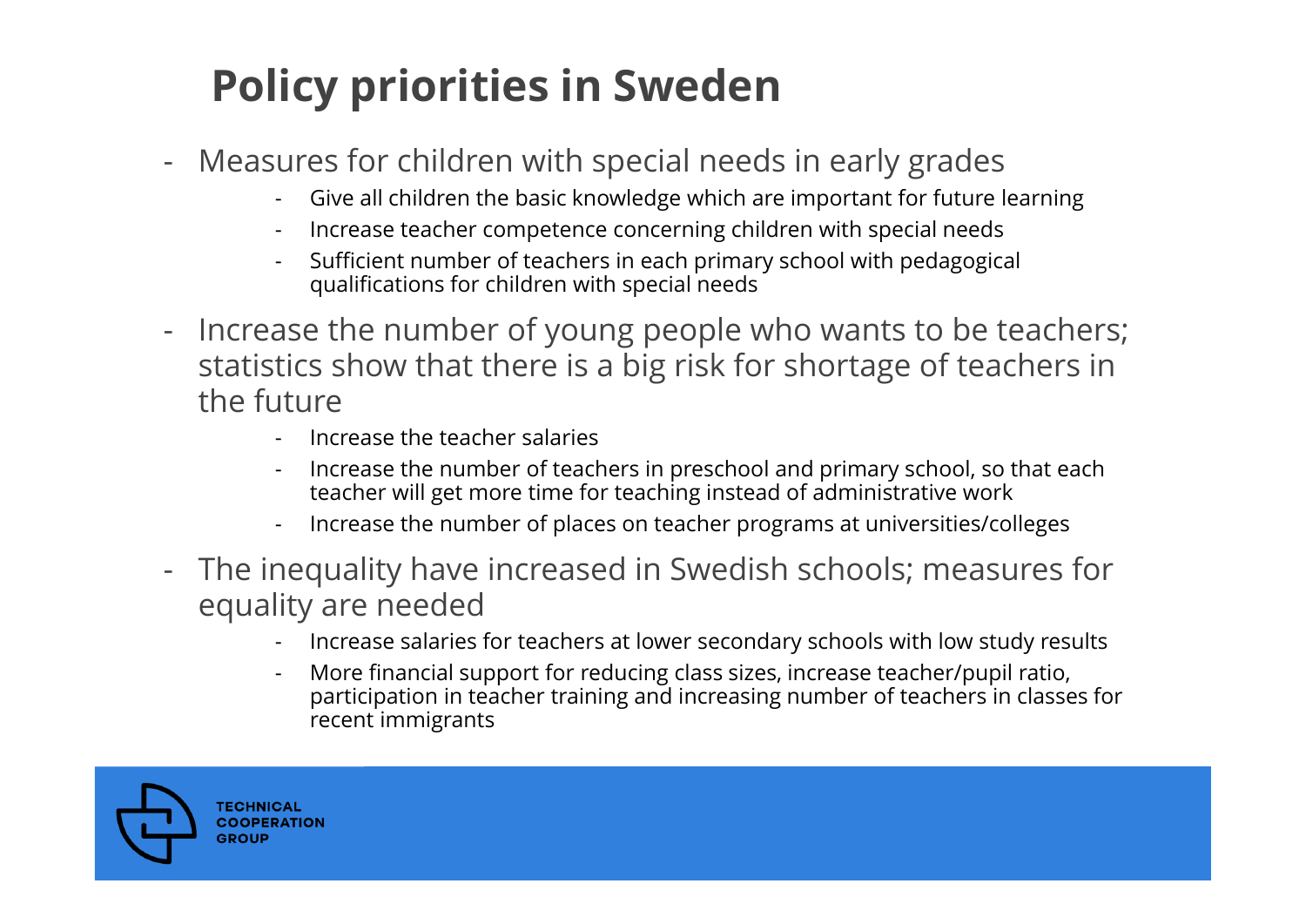### **Policy priorities in Sweden**

- Measures for children with special needs in early grades
	- Give all children the basic knowledge which are important for future learning
	- Increase teacher competence concerning children with special needs
	- - Sufficient number of teachers in each primary school with pedagogical qualifications for children with special needs
- Increase the number of young people who wants to be teachers; statistics show that there is a big risk for shortage of teachers in the future
	- -Increase the teacher salaries
	- - Increase the number of teachers in preschool and primary school, so that each teacher will get more time for teaching instead of administrative work
	- -Increase the number of places on teacher programs at universities/colleges
- $\equiv$  The inequality have increased in Swedish schools; measures for equality are needed
	- Increase salaries for teachers at lower secondary schools with low study results
	- - More financial support for reducing class sizes, increase teacher/pupil ratio, participation in teacher training and increasing number of teachers in classes for recent immigrants

**TECHNICAL COOPERATION** GROUI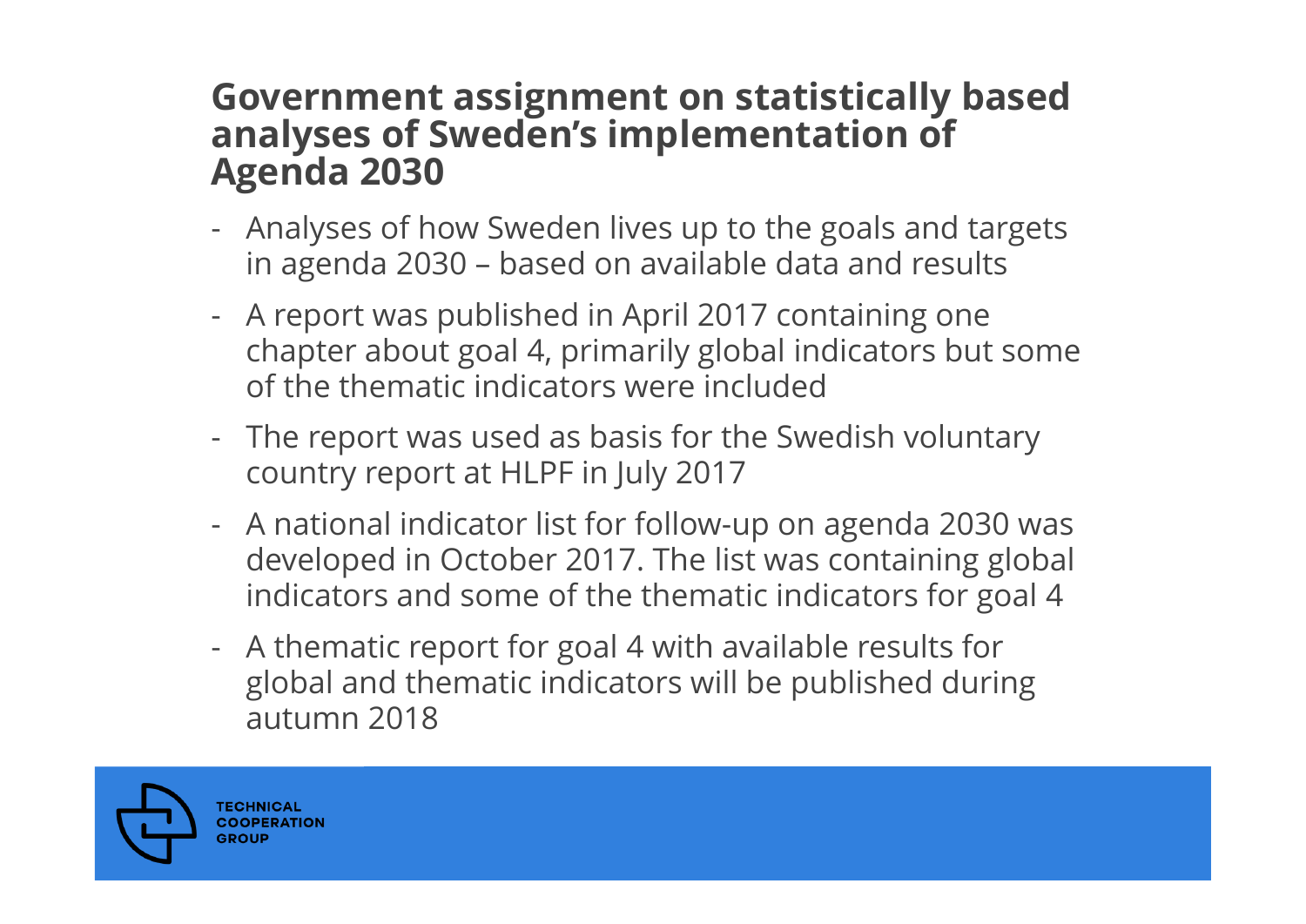## **Government assignment on statistically based analyses of Sweden's implementation of Agenda 2030**

- - Analyses of how Sweden lives up to the goals and targets in agenda 2030 – based on available data and results
- - A report was published in April 2017 containing one chapter about goal 4, primarily global indicators but some of the thematic indicators were included
- - The report was used as basis for the Swedish voluntary country report at HLPF in July 2017
- - A national indicator list for follow-up on agenda 2030 was developed in October 2017. The list was containing global indicators and some of the thematic indicators for goal 4
- - A thematic report for goal 4 with available results for global and thematic indicators will be published during autumn 2018

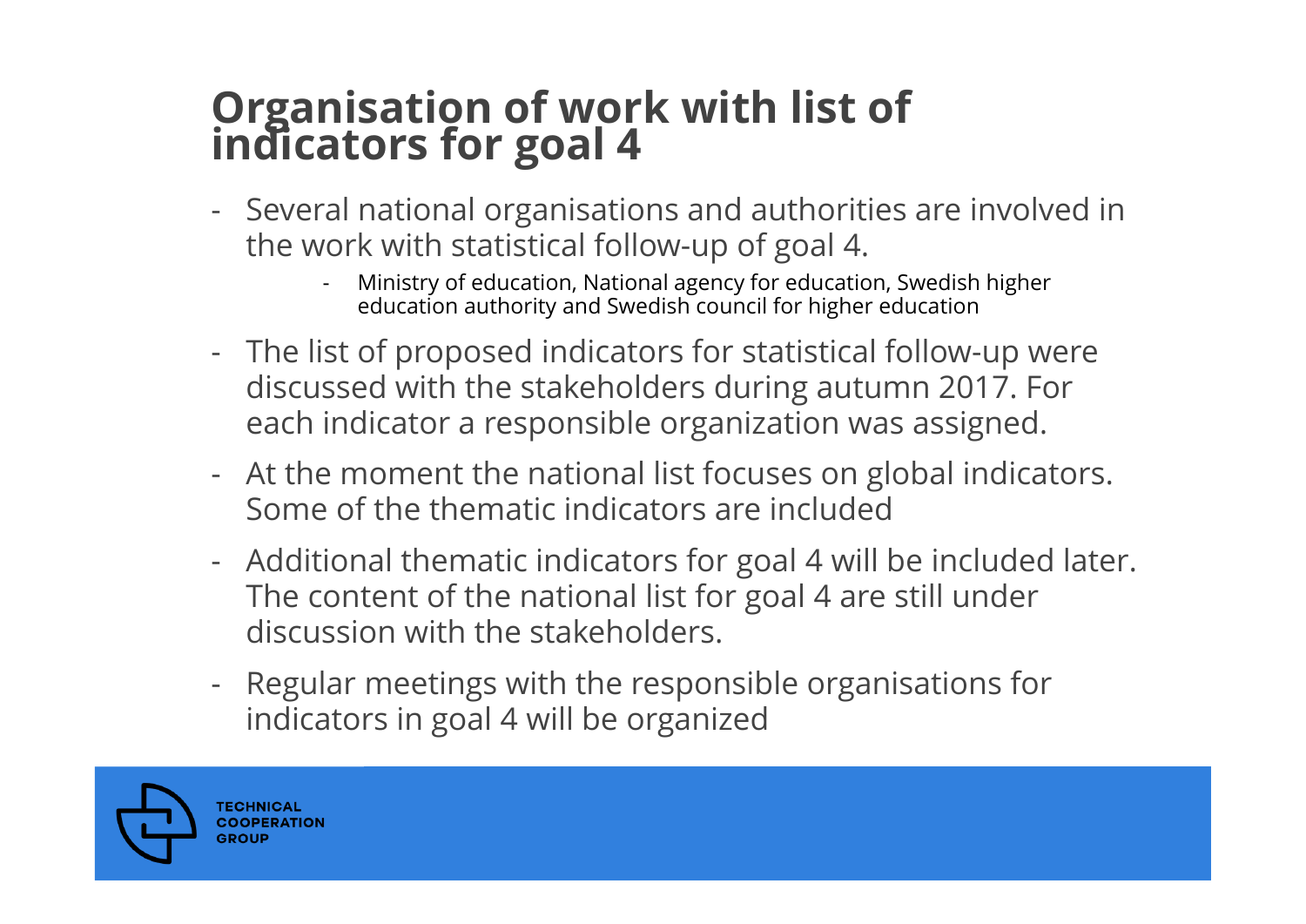# **Organisation of work with list of indicators for goal 4**

- - Several national organisations and authorities are involved in the work with statistical follow-up of goal 4.
	- - Ministry of education, National agency for education, Swedish higher education authority and Swedish council for higher education
- - The list of proposed indicators for statistical follow-up were discussed with the stakeholders during autumn 2017. For each indicator a responsible organization was assigned.
- - At the moment the national list focuses on global indicators. Some of the thematic indicators are included
- - Additional thematic indicators for goal 4 will be included later. The content of the national list for goal 4 are still under discussion with the stakeholders.
- - Regular meetings with the responsible organisations for indicators in goal 4 will be organized

**TECHNICAL COOPERATION** GROUI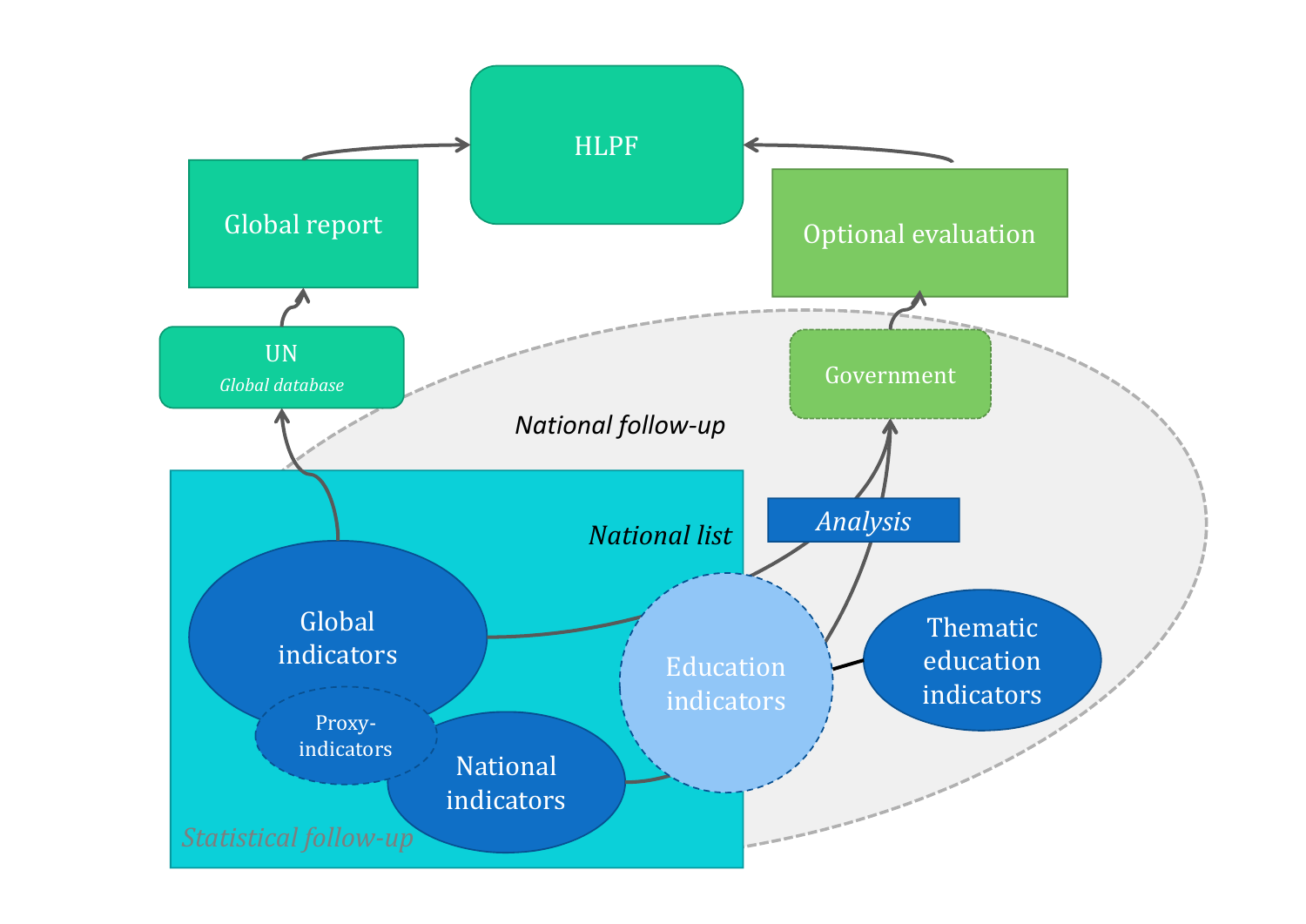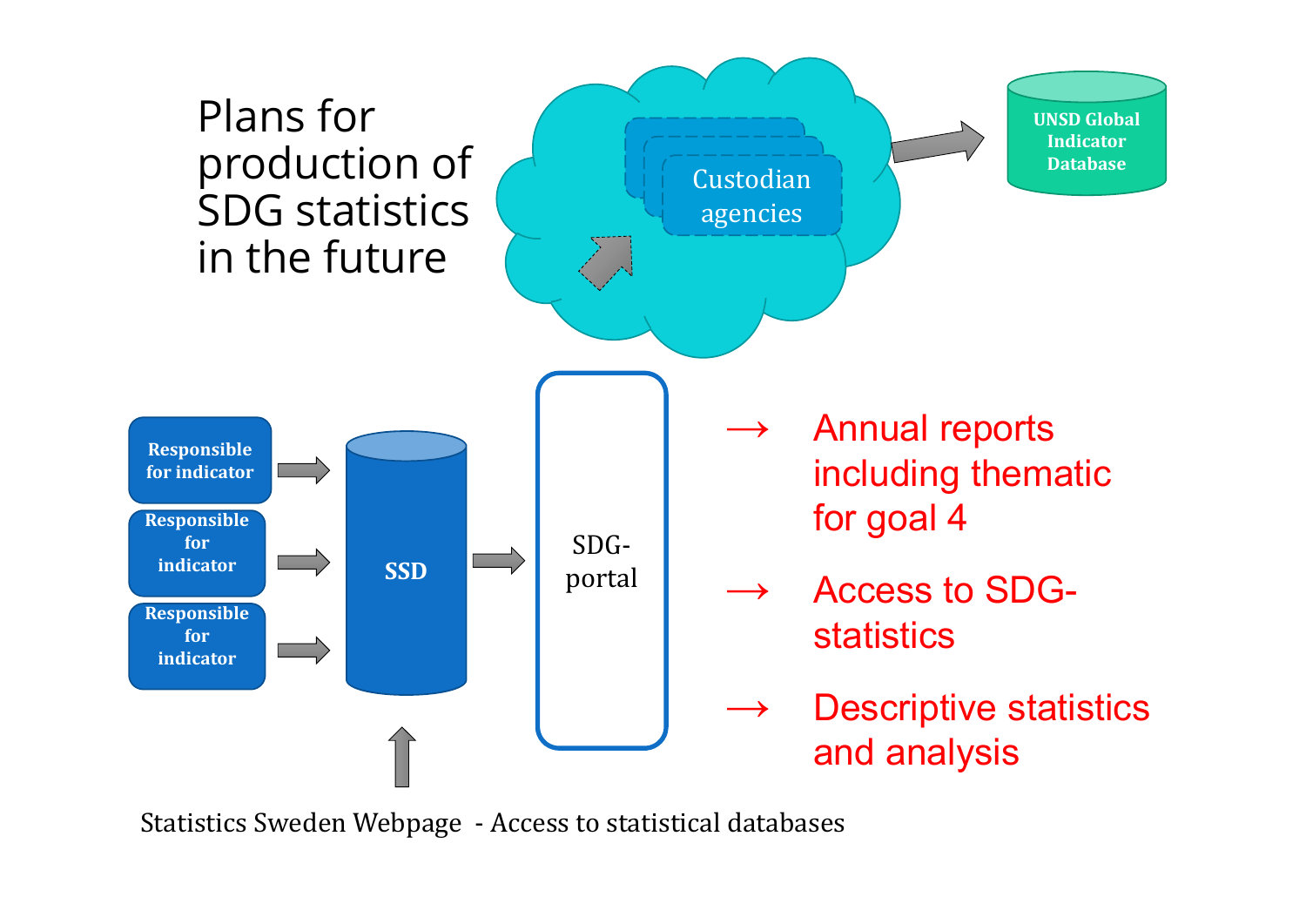

Statistics Sweden Webpage - Access to statistical databases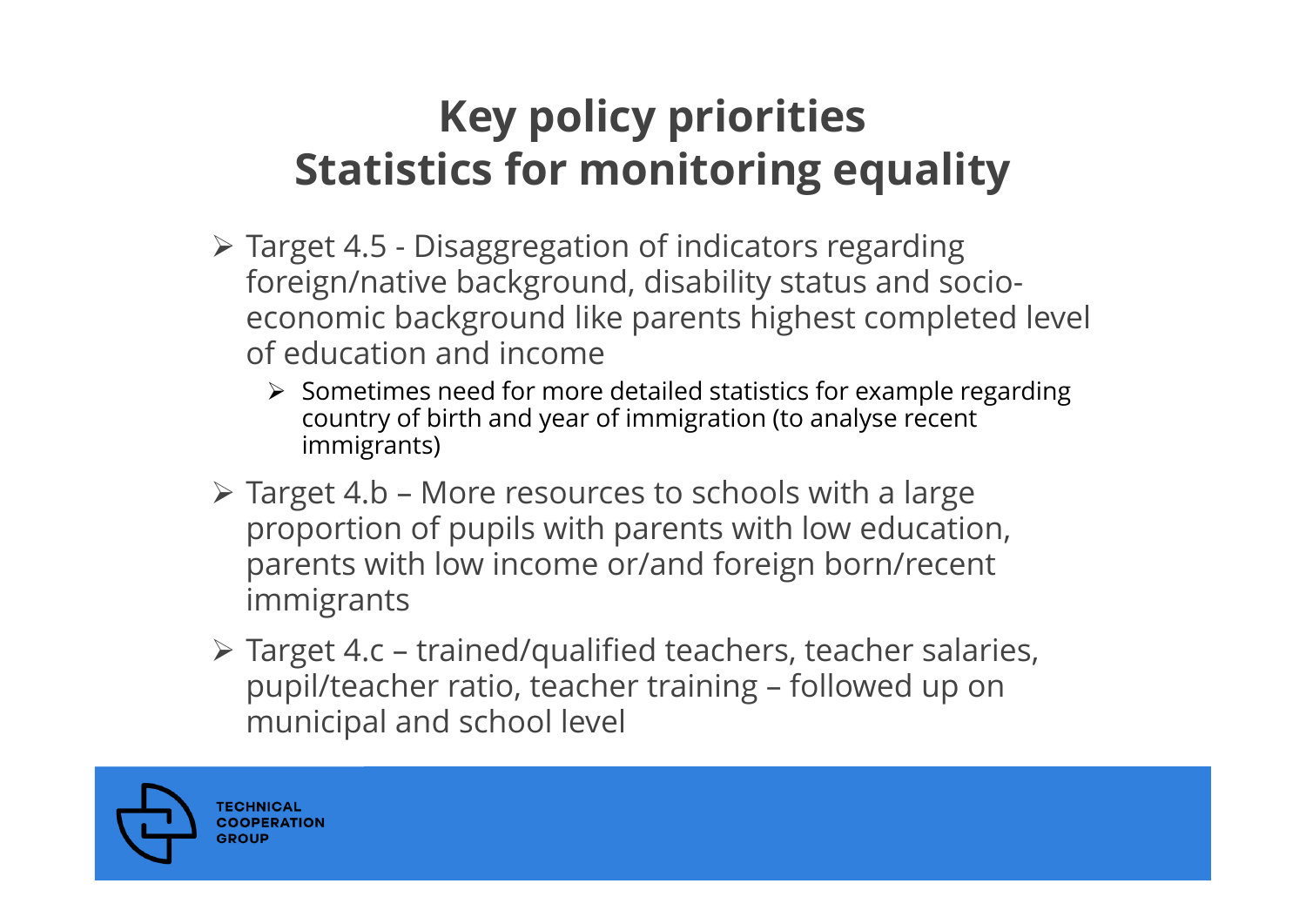### **Key policy priorities Statistics for monitoring equality**

- Target 4.5 Disaggregation of indicators regarding foreign/native background, disability status and socioeconomic background like parents highest completed level of education and income
	- $\triangleright$  Sometimes need for more detailed statistics for example regarding country of birth and year of immigration (to analyse recent immigrants)
- $\triangleright$  Target 4.b More resources to schools with a large proportion of pupils with parents with low education, parents with low income or/and foreign born/recent immigrants
- Target 4.c trained/qualified teachers, teacher salaries, pupil/teacher ratio, teacher training – followed up on municipal and school level